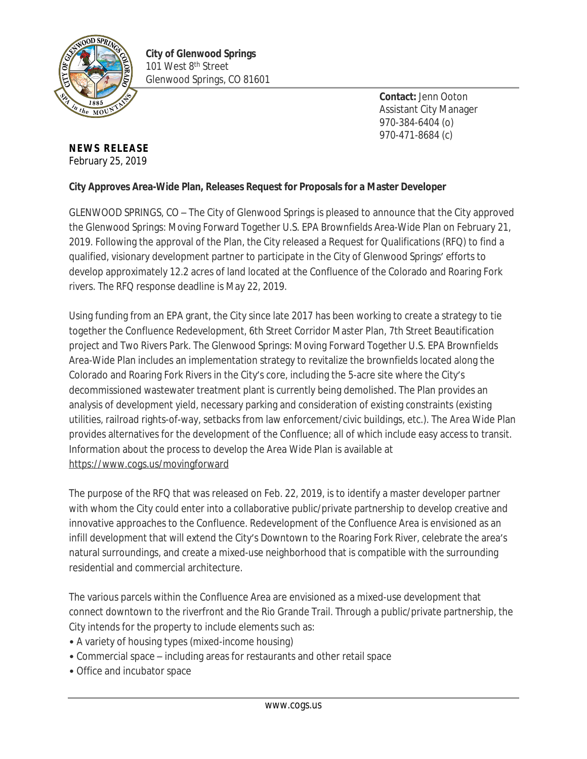

**Contact:** Jenn Ooton Assistant City Manager 970-384-6404 (o) 970-471-8684 (c)

## **NEWS RELEASE** February 25, 2019

## **City Approves Area-Wide Plan, Releases Request for Proposals for a Master Developer**

GLENWOOD SPRINGS, CO – The City of Glenwood Springs is pleased to announce that the City approved the Glenwood Springs: Moving Forward Together U.S. EPA Brownfields Area-Wide Plan on February 21, 2019. Following the approval of the Plan, the City released a Request for Qualifications (RFQ) to find a qualified, visionary development partner to participate in the City of Glenwood Springs' efforts to develop approximately 12.2 acres of land located at the Confluence of the Colorado and Roaring Fork rivers. The RFQ response deadline is May 22, 2019.

Using funding from an EPA grant, the City since late 2017 has been working to create a strategy to tie together the Confluence Redevelopment, 6th Street Corridor Master Plan, 7th Street Beautification project and Two Rivers Park. The Glenwood Springs: Moving Forward Together U.S. EPA Brownfields Area-Wide Plan includes an implementation strategy to revitalize the brownfields located along the Colorado and Roaring Fork Rivers in the City's core, including the 5-acre site where the City's decommissioned wastewater treatment plant is currently being demolished. The Plan provides an analysis of development yield, necessary parking and consideration of existing constraints (existing utilities, railroad rights-of-way, setbacks from law enforcement/civic buildings, etc.). The Area Wide Plan provides alternatives for the development of the Confluence; all of which include easy access to transit. Information about the process to develop the Area Wide Plan is available at <https://www.cogs.us/movingforward>

The purpose of the RFQ that was released on Feb. 22, 2019, is to identify a master developer partner with whom the City could enter into a collaborative public/private partnership to develop creative and innovative approaches to the Confluence. Redevelopment of the Confluence Area is envisioned as an infill development that will extend the City's Downtown to the Roaring Fork River, celebrate the area's natural surroundings, and create a mixed-use neighborhood that is compatible with the surrounding residential and commercial architecture.

The various parcels within the Confluence Area are envisioned as a mixed-use development that connect downtown to the riverfront and the Rio Grande Trail. Through a public/private partnership, the City intends for the property to include elements such as:

- A variety of housing types (mixed-income housing)
- Commercial space including areas for restaurants and other retail space
- Office and incubator space